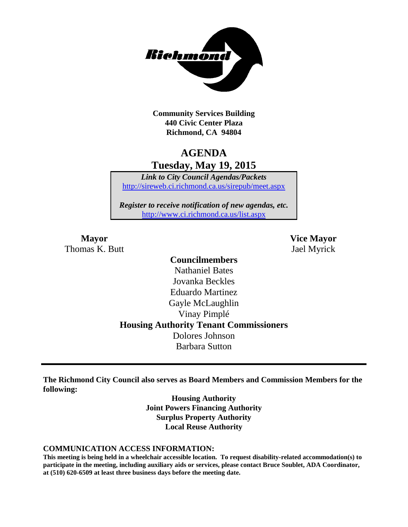

**Community Services Building 440 Civic Center Plaza Richmond, CA 94804**

# **AGENDA Tuesday, May 19, 2015**

*Link to City Council Agendas/Packets* <http://sireweb.ci.richmond.ca.us/sirepub/meet.aspx>

*Register to receive notification of new agendas, etc.* <http://www.ci.richmond.ca.us/list.aspx>

Thomas K. Butt Jael Myrick

**Mayor Vice Mayor**

# **Councilmembers** Nathaniel Bates Jovanka Beckles Eduardo Martinez Gayle McLaughlin Vinay Pimplé **Housing Authority Tenant Commissioners** Dolores Johnson Barbara Sutton

**The Richmond City Council also serves as Board Members and Commission Members for the following:**

> **Housing Authority Joint Powers Financing Authority Surplus Property Authority Local Reuse Authority**

#### **COMMUNICATION ACCESS INFORMATION:**

**This meeting is being held in a wheelchair accessible location. To request disability-related accommodation(s) to participate in the meeting, including auxiliary aids or services, please contact Bruce Soublet, ADA Coordinator, at (510) 620-6509 at least three business days before the meeting date.**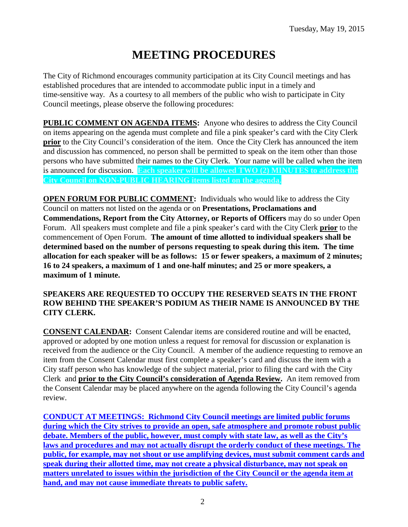# **MEETING PROCEDURES**

The City of Richmond encourages community participation at its City Council meetings and has established procedures that are intended to accommodate public input in a timely and time-sensitive way. As a courtesy to all members of the public who wish to participate in City Council meetings, please observe the following procedures:

**PUBLIC COMMENT ON AGENDA ITEMS:** Anyone who desires to address the City Council on items appearing on the agenda must complete and file a pink speaker's card with the City Clerk **prior** to the City Council's consideration of the item. Once the City Clerk has announced the item and discussion has commenced, no person shall be permitted to speak on the item other than those persons who have submitted their names to the City Clerk. Your name will be called when the item is announced for discussion. **Each speaker will be allowed TWO (2) MINUTES to address the City Council on NON-PUBLIC HEARING items listed on the agenda.**

**OPEN FORUM FOR PUBLIC COMMENT:** Individuals who would like to address the City Council on matters not listed on the agenda or on **Presentations, Proclamations and Commendations, Report from the City Attorney, or Reports of Officers** may do so under Open Forum. All speakers must complete and file a pink speaker's card with the City Clerk **prior** to the commencement of Open Forum. **The amount of time allotted to individual speakers shall be determined based on the number of persons requesting to speak during this item. The time allocation for each speaker will be as follows: 15 or fewer speakers, a maximum of 2 minutes; 16 to 24 speakers, a maximum of 1 and one-half minutes; and 25 or more speakers, a maximum of 1 minute.**

#### **SPEAKERS ARE REQUESTED TO OCCUPY THE RESERVED SEATS IN THE FRONT ROW BEHIND THE SPEAKER'S PODIUM AS THEIR NAME IS ANNOUNCED BY THE CITY CLERK.**

**CONSENT CALENDAR:** Consent Calendar items are considered routine and will be enacted, approved or adopted by one motion unless a request for removal for discussion or explanation is received from the audience or the City Council. A member of the audience requesting to remove an item from the Consent Calendar must first complete a speaker's card and discuss the item with a City staff person who has knowledge of the subject material, prior to filing the card with the City Clerk and **prior to the City Council's consideration of Agenda Review.** An item removed from the Consent Calendar may be placed anywhere on the agenda following the City Council's agenda review.

**CONDUCT AT MEETINGS: Richmond City Council meetings are limited public forums during which the City strives to provide an open, safe atmosphere and promote robust public debate. Members of the public, however, must comply with state law, as well as the City's laws and procedures and may not actually disrupt the orderly conduct of these meetings. The public, for example, may not shout or use amplifying devices, must submit comment cards and speak during their allotted time, may not create a physical disturbance, may not speak on matters unrelated to issues within the jurisdiction of the City Council or the agenda item at hand, and may not cause immediate threats to public safety.**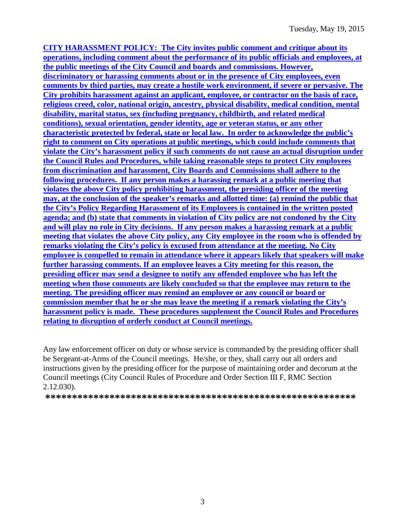**CITY HARASSMENT POLICY: The City invites public comment and critique about its operations, including comment about the performance of its public officials and employees, at the public meetings of the City Council and boards and commissions. However, discriminatory or harassing comments about or in the presence of City employees, even comments by third parties, may create a hostile work environment, if severe or pervasive. The City prohibits harassment against an applicant, employee, or contractor on the basis of race, religious creed, color, national origin, ancestry, physical disability, medical condition, mental disability, marital status, sex (including pregnancy, childbirth, and related medical conditions), sexual orientation, gender identity, age or veteran status, or any other characteristic protected by federal, state or local law. In order to acknowledge the public's right to comment on City operations at public meetings, which could include comments that violate the City's harassment policy if such comments do not cause an actual disruption under the Council Rules and Procedures, while taking reasonable steps to protect City employees from discrimination and harassment, City Boards and Commissions shall adhere to the following procedures. If any person makes a harassing remark at a public meeting that violates the above City policy prohibiting harassment, the presiding officer of the meeting may, at the conclusion of the speaker's remarks and allotted time: (a) remind the public that the City's Policy Regarding Harassment of its Employees is contained in the written posted agenda; and (b) state that comments in violation of City policy are not condoned by the City and will play no role in City decisions. If any person makes a harassing remark at a public meeting that violates the above City policy, any City employee in the room who is offended by remarks violating the City's policy is excused from attendance at the meeting. No City employee is compelled to remain in attendance where it appears likely that speakers will make further harassing comments. If an employee leaves a City meeting for this reason, the presiding officer may send a designee to notify any offended employee who has left the meeting when those comments are likely concluded so that the employee may return to the meeting. The presiding officer may remind an employee or any council or board or commission member that he or she may leave the meeting if a remark violating the City's harassment policy is made. These procedures supplement the Council Rules and Procedures relating to disruption of orderly conduct at Council meetings.**

Any law enforcement officer on duty or whose service is commanded by the presiding officer shall be Sergeant-at-Arms of the Council meetings. He/she, or they, shall carry out all orders and instructions given by the presiding officer for the purpose of maintaining order and decorum at the Council meetings (City Council Rules of Procedure and Order Section III F, RMC Section 2.12.030).

**\*\*\*\*\*\*\*\*\*\*\*\*\*\*\*\*\*\*\*\*\*\*\*\*\*\*\*\*\*\*\*\*\*\*\*\*\*\*\*\*\*\*\*\*\*\*\*\*\*\*\*\*\*\*\*\*\*\***

3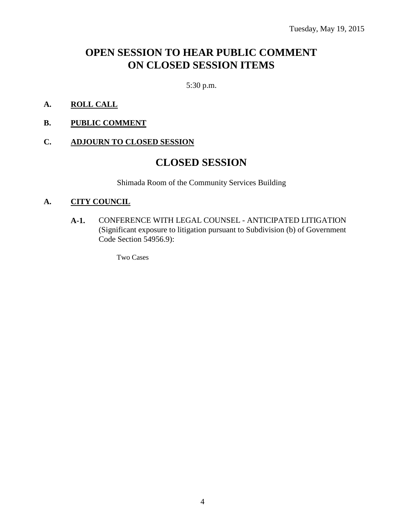# **OPEN SESSION TO HEAR PUBLIC COMMENT ON CLOSED SESSION ITEMS**

5:30 p.m.

- **A. ROLL CALL**
- **B. PUBLIC COMMENT**

#### **C. ADJOURN TO CLOSED SESSION**

# **CLOSED SESSION**

Shimada Room of the Community Services Building

#### **A. CITY COUNCIL**

**A-1.** CONFERENCE WITH LEGAL COUNSEL - ANTICIPATED LITIGATION (Significant exposure to litigation pursuant to Subdivision (b) of Government Code Section 54956.9):

Two Cases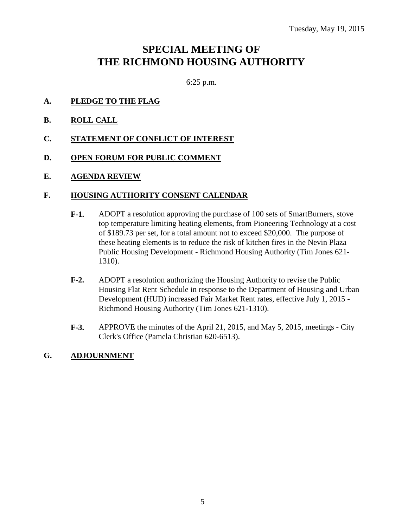# **SPECIAL MEETING OF THE RICHMOND HOUSING AUTHORITY**

6:25 p.m.

- **A. PLEDGE TO THE FLAG**
- **B. ROLL CALL**
- **C. STATEMENT OF CONFLICT OF INTEREST**
- **D. OPEN FORUM FOR PUBLIC COMMENT**
- **E. AGENDA REVIEW**

#### **F. HOUSING AUTHORITY CONSENT CALENDAR**

- **F-1.** ADOPT a resolution approving the purchase of 100 sets of SmartBurners, stove top temperature limiting heating elements, from Pioneering Technology at a cost of \$189.73 per set, for a total amount not to exceed \$20,000. The purpose of these heating elements is to reduce the risk of kitchen fires in the Nevin Plaza Public Housing Development - Richmond Housing Authority (Tim Jones 621- 1310).
- **F-2.** ADOPT a resolution authorizing the Housing Authority to revise the Public Housing Flat Rent Schedule in response to the Department of Housing and Urban Development (HUD) increased Fair Market Rent rates, effective July 1, 2015 - Richmond Housing Authority (Tim Jones 621-1310).
- **F-3.** APPROVE the minutes of the April 21, 2015, and May 5, 2015, meetings City Clerk's Office (Pamela Christian 620-6513).

#### **G. ADJOURNMENT**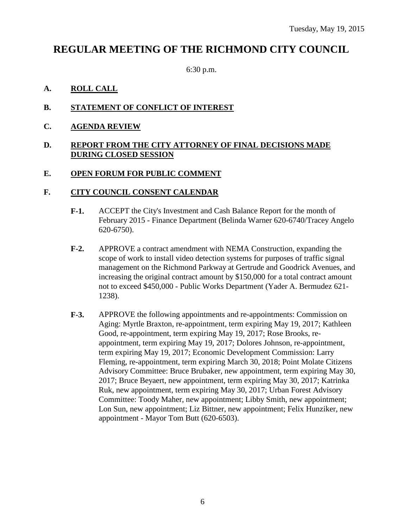# **REGULAR MEETING OF THE RICHMOND CITY COUNCIL**

6:30 p.m.

#### **A. ROLL CALL**

#### **B. STATEMENT OF CONFLICT OF INTEREST**

**C. AGENDA REVIEW**

#### **D. REPORT FROM THE CITY ATTORNEY OF FINAL DECISIONS MADE DURING CLOSED SESSION**

#### **E. OPEN FORUM FOR PUBLIC COMMENT**

#### **F. CITY COUNCIL CONSENT CALENDAR**

- **F-1.** ACCEPT the City's Investment and Cash Balance Report for the month of February 2015 - Finance Department (Belinda Warner 620-6740/Tracey Angelo 620-6750).
- **F-2.** APPROVE a contract amendment with NEMA Construction, expanding the scope of work to install video detection systems for purposes of traffic signal management on the Richmond Parkway at Gertrude and Goodrick Avenues, and increasing the original contract amount by \$150,000 for a total contract amount not to exceed \$450,000 - Public Works Department (Yader A. Bermudez 621- 1238).
- **F-3.** APPROVE the following appointments and re-appointments: Commission on Aging: Myrtle Braxton, re-appointment, term expiring May 19, 2017; Kathleen Good, re-appointment, term expiring May 19, 2017; Rose Brooks, reappointment, term expiring May 19, 2017; Dolores Johnson, re-appointment, term expiring May 19, 2017; Economic Development Commission: Larry Fleming, re-appointment, term expiring March 30, 2018; Point Molate Citizens Advisory Committee: Bruce Brubaker, new appointment, term expiring May 30, 2017; Bruce Beyaert, new appointment, term expiring May 30, 2017; Katrinka Ruk, new appointment, term expiring May 30, 2017; Urban Forest Advisory Committee: Toody Maher, new appointment; Libby Smith, new appointment; Lon Sun, new appointment; Liz Bittner, new appointment; Felix Hunziker, new appointment - Mayor Tom Butt (620-6503).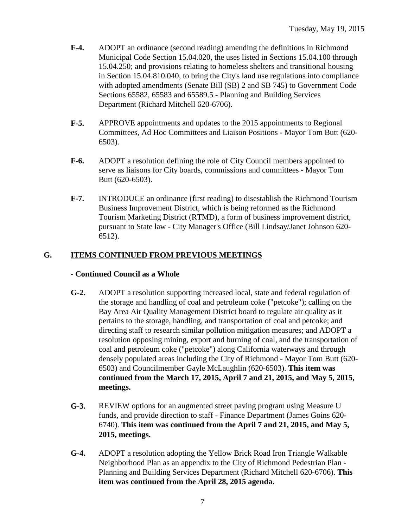- **F-4.** ADOPT an ordinance (second reading) amending the definitions in Richmond Municipal Code Section 15.04.020, the uses listed in Sections 15.04.100 through 15.04.250; and provisions relating to homeless shelters and transitional housing in Section 15.04.810.040, to bring the City's land use regulations into compliance with adopted amendments (Senate Bill (SB) 2 and SB 745) to Government Code Sections 65582, 65583 and 65589.5 - Planning and Building Services Department (Richard Mitchell 620-6706).
- **F-5.** APPROVE appointments and updates to the 2015 appointments to Regional Committees, Ad Hoc Committees and Liaison Positions - Mayor Tom Butt (620- 6503).
- **F-6.** ADOPT a resolution defining the role of City Council members appointed to serve as liaisons for City boards, commissions and committees - Mayor Tom Butt (620-6503).
- **F-7.** INTRODUCE an ordinance (first reading) to disestablish the Richmond Tourism Business Improvement District, which is being reformed as the Richmond Tourism Marketing District (RTMD), a form of business improvement district, pursuant to State law - City Manager's Office (Bill Lindsay/Janet Johnson 620- 6512).

### **G. ITEMS CONTINUED FROM PREVIOUS MEETINGS**

#### **- Continued Council as a Whole**

- **G-2.** ADOPT a resolution supporting increased local, state and federal regulation of the storage and handling of coal and petroleum coke ("petcoke"); calling on the Bay Area Air Quality Management District board to regulate air quality as it pertains to the storage, handling, and transportation of coal and petcoke; and directing staff to research similar pollution mitigation measures; and ADOPT a resolution opposing mining, export and burning of coal, and the transportation of coal and petroleum coke ("petcoke") along California waterways and through densely populated areas including the City of Richmond - Mayor Tom Butt (620- 6503) and Councilmember Gayle McLaughlin (620-6503). **This item was continued from the March 17, 2015, April 7 and 21, 2015, and May 5, 2015, meetings.**
- **G-3.** REVIEW options for an augmented street paving program using Measure U funds, and provide direction to staff - Finance Department (James Goins 620- 6740). **This item was continued from the April 7 and 21, 2015, and May 5, 2015, meetings.**
- **G-4.** ADOPT a resolution adopting the Yellow Brick Road Iron Triangle Walkable Neighborhood Plan as an appendix to the City of Richmond Pedestrian Plan - Planning and Building Services Department (Richard Mitchell 620-6706). **This item was continued from the April 28, 2015 agenda.**